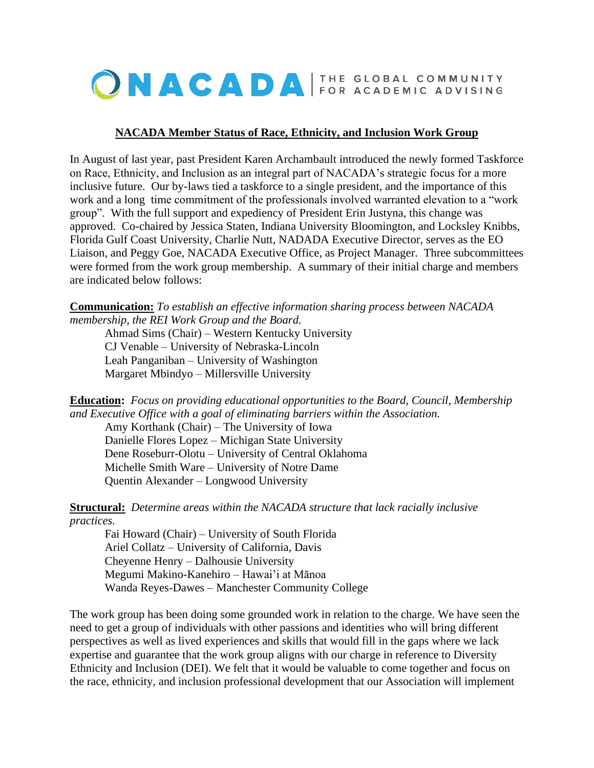

## **NACADA Member Status of Race, Ethnicity, and Inclusion Work Group**

In August of last year, past President Karen Archambault introduced the newly formed Taskforce on Race, Ethnicity, and Inclusion as an integral part of NACADA's strategic focus for a more inclusive future. Our by-laws tied a taskforce to a single president, and the importance of this work and a long time commitment of the professionals involved warranted elevation to a "work group". With the full support and expediency of President Erin Justyna, this change was approved. Co-chaired by Jessica Staten, Indiana University Bloomington, and Locksley Knibbs, Florida Gulf Coast University, Charlie Nutt, NADADA Executive Director, serves as the EO Liaison, and Peggy Goe, NACADA Executive Office, as Project Manager. Three subcommittees were formed from the work group membership. A summary of their initial charge and members are indicated below follows:

**Communication:** *To establish an effective information sharing process between NACADA membership, the REI Work Group and the Board.*

Ahmad Sims (Chair) – Western Kentucky University CJ Venable – University of Nebraska-Lincoln Leah Panganiban – University of Washington Margaret Mbindyo – Millersville University

**Education:** *Focus on providing educational opportunities to the Board, Council, Membership and Executive Office with a goal of eliminating barriers within the Association.*

Amy Korthank (Chair) – The University of Iowa Danielle Flores Lopez – Michigan State University Dene Roseburr-Olotu – University of Central Oklahoma Michelle Smith Ware – University of Notre Dame Quentin Alexander – Longwood University

**Structural:** *Determine areas within the NACADA structure that lack racially inclusive practices.*

Fai Howard (Chair) – University of South Florida Ariel Collatz – University of California, Davis Cheyenne Henry – Dalhousie University Megumi Makino-Kanehiro – Hawai'i at Mānoa Wanda Reyes-Dawes – Manchester Community College

The work group has been doing some grounded work in relation to the charge. We have seen the need to get a group of individuals with other passions and identities who will bring different perspectives as well as lived experiences and skills that would fill in the gaps where we lack expertise and guarantee that the work group aligns with our charge in reference to Diversity Ethnicity and Inclusion (DEI). We felt that it would be valuable to come together and focus on the race, ethnicity, and inclusion professional development that our Association will implement